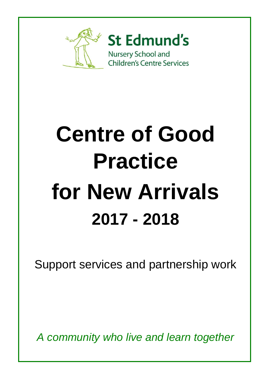

# **Centre of Good Practice for New Arrivals 2017 - 2018**

Support services and partnership work

*A community who live and learn together*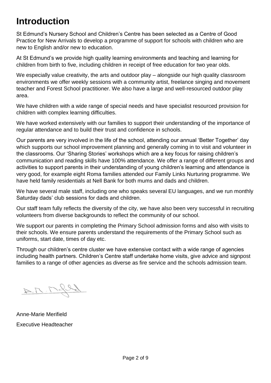# **Introduction**

St Edmund's Nursery School and Children's Centre has been selected as a Centre of Good Practice for New Arrivals to develop a programme of support for schools with children who are new to English and/or new to education.

At St Edmund's we provide high quality learning environments and teaching and learning for children from birth to five, including children in receipt of free education for two year olds.

We especially value creativity, the arts and outdoor play – alongside our high quality classroom environments we offer weekly sessions with a community artist, freelance singing and movement teacher and Forest School practitioner. We also have a large and well-resourced outdoor play area.

We have children with a wide range of special needs and have specialist resourced provision for children with complex learning difficulties.

We have worked extensively with our families to support their understanding of the importance of regular attendance and to build their trust and confidence in schools.

Our parents are very involved in the life of the school, attending our annual 'Better Together' day which supports our school improvement planning and generally coming in to visit and volunteer in the classrooms. Our 'Sharing Stories' workshops which are a key focus for raising children's communication and reading skills have 100% attendance. We offer a range of different groups and activities to support parents in their understanding of young children's learning and attendance is very good, for example eight Roma families attended our Family Links Nurturing programme. We have held family residentials at Nell Bank for both mums and dads and children.

We have several male staff, including one who speaks several EU languages, and we run monthly Saturday dads' club sessions for dads and children.

Our staff team fully reflects the diversity of the city, we have also been very successful in recruiting volunteers from diverse backgrounds to reflect the community of our school.

We support our parents in completing the Primary School admission forms and also with visits to their schools. We ensure parents understand the requirements of the Primary School such as uniforms, start date, times of day etc.

Through our children's centre cluster we have extensive contact with a wide range of agencies including health partners. Children's Centre staff undertake home visits, give advice and signpost families to a range of other agencies as diverse as fire service and the schools admission team.

Array

Anne-Marie Merifield Executive Headteacher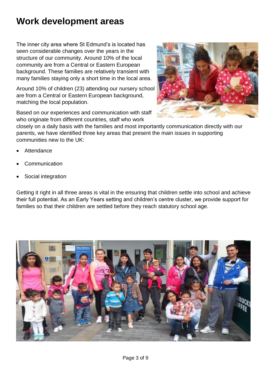# **Work development areas**

The inner city area where St Edmund's is located has seen considerable changes over the years in the structure of our community. Around 10% of the local community are from a Central or Eastern European background. These families are relatively transient with many families staying only a short time in the local area.

Around 10% of children (23) attending our nursery school are from a Central or Eastern European background, matching the local population.

Based on our experiences and communication with staff who originate from different countries, staff who work



closely on a daily basis with the families and most importantly communication directly with our parents, we have identified three key areas that present the main issues in supporting communities new to the UK:

- **Attendance**
- **Communication**
- Social integration

Getting it right in all three areas is vital in the ensuring that children settle into school and achieve their full potential. As an Early Years setting and children's centre cluster, we provide support for families so that their children are settled before they reach statutory school age.

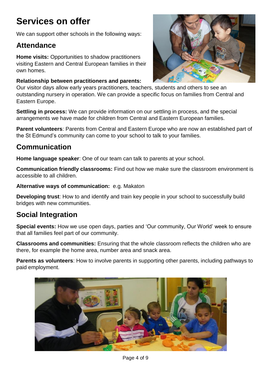# **Services on offer**

We can support other schools in the following ways:

## **Attendance**

**Home visits:** Opportunities to shadow practitioners visiting Eastern and Central European families in their own homes.

#### **Relationship between practitioners and parents:**

Our visitor days allow early years practitioners, teachers, students and others to see an outstanding nursery in operation. We can provide a specific focus on families from Central and Eastern Europe.

**Settling in process:** We can provide information on our settling in process, and the special arrangements we have made for children from Central and Eastern European families.

**Parent volunteers**: Parents from Central and Eastern Europe who are now an established part of the St Edmund's community can come to your school to talk to your families.

## **Communication**

**Home language speaker**: One of our team can talk to parents at your school.

**Communication friendly classrooms:** Find out how we make sure the classroom environment is accessible to all children.

**Alternative ways of communication:** e.g. Makaton

**Developing trust**: How to and identify and train key people in your school to successfully build bridges with new communities.

## **Social Integration**

**Special events:** How we use open days, parties and 'Our community, Our World' week to ensure that all families feel part of our community.

**Classrooms and communities:** Ensuring that the whole classroom reflects the children who are there, for example the home area, number area and snack area.

**Parents as volunteers**: How to involve parents in supporting other parents, including pathways to paid employment.





Page 4 of 9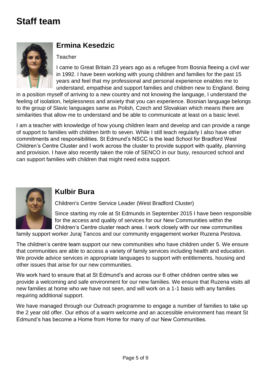# **Staff team**



## **Ermina Kesedzic**

#### **Teacher**

I came to Great Britain 23 years ago as a refugee from Bosnia fleeing a civil war in 1992. I have been working with young children and families for the past 15 years and feel that my professional and personal experience enables me to understand, empathise and support families and children new to England. Being

in a position myself of arriving to a new country and not knowing the language, I understand the feeling of isolation, helplessness and anxiety that you can experience. Bosnian language belongs to the group of Slavic languages same as Polish, Czech and Slovakian which means there are similarities that allow me to understand and be able to communicate at least on a basic level.

I am a teacher with knowledge of how young children learn and develop and can provide a range of support to families with children birth to seven. While I still teach regularly I also have other commitments and responsibilities. St Edmund's NSCC is the lead School for Bradford West Children's Centre Cluster and I work across the cluster to provide support with quality, planning and provision. I have also recently taken the role of SENCO in our busy, resourced school and can support families with children that might need extra support.



#### **Kulbir Bura**

Children's Centre Service Leader (West Bradford Cluster)

Since starting my role at St Edmunds in September 2015 I have been responsible for the access and quality of services for our New Communities within the Children's Centre cluster reach area. I work closely with our new communities

family support worker Juraj Tancos and our community engagement worker Ruzena Pestova.

The children's centre team support our new communities who have children under 5. We ensure that communities are able to access a variety of family services including health and education. We provide advice services in appropriate languages to support with entitlements, housing and other issues that arise for our new communities.

We work hard to ensure that at St Edmund's and across our 6 other children centre sites we provide a welcoming and safe environment for our new families. We ensure that Ruzena visits all new families at home who we have not seen, and will work on a 1-1 basis with any families requiring additional support.

We have managed through our Outreach programme to engage a number of families to take up the 2 year old offer. Our ethos of a warm welcome and an accessible environment has meant St Edmund's has become a Home from Home for many of our New Communities.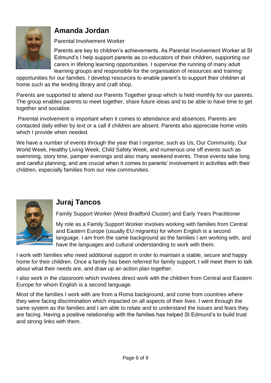

## **Amanda Jordan**

Parental Involvement Worker

Parents are key to children's achievements. As Parental Involvement Worker at St Edmund's I help support parents as co-educators of their children, supporting our carers in lifelong learning opportunities. I supervise the running of many adult learning groups and responsible for the organisation of resources and training

opportunities for our families. I develop resources to enable parent's to support their children at home such as the lending library and craft shop.

Parents are supported to attend our Parents Together group which is held monthly for our parents. The group enables parents to meet together, share future ideas and to be able to have time to get together and socialise.

Parental involvement is important when it comes to attendance and absences. Parents are contacted daily either by text or a call if children are absent. Parents also appreciate home visits which I provide when needed.

We have a number of events through the year that I organise, such as Us, Our Community, Our World Week, Healthy Living Week, Child Safety Week, and numerous one off events such as swimming, story time, pamper evenings and also many weekend events. These events take long and careful planning, and are crucial when it comes to parents' involvement in activities with their children, especially families from our new communities.



## **Juraj Tancos**

Family Support Worker (West Bradford Cluster) and Early Years Practitioner

My role as a Family Support Worker involves working with families from Central and Eastern Europe (usually EU migrants) for whom English is a second language. I am from the same background as the families I am working with, and have the languages and cultural understanding to work with them.

I work with families who need additional support in order to maintain a stable, secure and happy home for their children. Once a family has been referred for family support, I will meet them to talk about what their needs are, and draw up an action plan together.

I also work in the classroom which involves direct work with the children from Central and Eastern Europe for whom English is a second language.

Most of the families I work with are from a Roma background, and come from countries where they were facing discrimination which impacted on all aspects of their lives. I went through the same system as the families and I am able to relate and to understand the issues and fears they are facing. Having a positive relationship with the families has helped St Edmund's to build trust and strong links with them.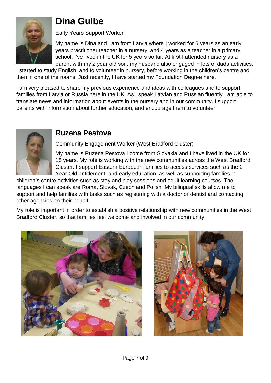

# **Dina Gulbe**

Early Years Support Worker

My name is Dina and I am from Latvia where I worked for 6 years as an early years practitioner teacher in a nursery, and 4 years as a teacher in a primary school. I've lived in the UK for 5 years so far. At first I attended nursery as a parent with my 2 year old son, my husband also engaged in lots of dads'activities.

I started to study English, and to volunteer in nursery, before working in the children's centre and then in one of the rooms. Just recently, I have started my Foundation Degree here.

I am very pleased to share my previous experience and ideas with colleagues and to support families from Latvia or Russia here in the UK. As I speak Latvian and Russian fluently I am able to translate news and information about events in the nursery and in our community. I support parents with information about further education, and encourage them to volunteer.



## **Ruzena Pestova**

Community Engagement Worker (West Bradford Cluster)

My name is Ruzena Pestova I come from Slovakia and I have lived in the UK for 15 years. My role is working with the new communities across the West Bradford Cluster. I support Eastern European families to access services such as the 2 Year Old entitlement, and early education, as well as supporting families in

children's centre activities such as stay and play sessions and adult learning courses. The languages I can speak are Roma, Slovak, Czech and Polish. My bilingual skills allow me to support and help families with tasks such as registering with a doctor or dentist and contacting other agencies on their behalf.

My role is important in order to establish a positive relationship with new communities in the West Bradford Cluster, so that families feel welcome and involved in our community.



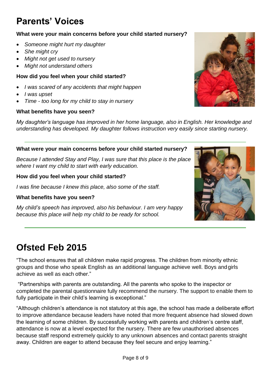# **Parents' Voices**

#### **What were your main concerns before your child started nursery?**

- *Someone might hurt my daughter*
- *She might cry*
- *Might not get used to nursery*
- *Might not understand others*

#### **How did you feel when your child started?**

- *I was scared of any accidents that might happen*
- *I was upset*
- *Time - too long for my child to stay in nursery*

#### **What benefits have you seen?**

*My daughter's language has improved in her home language, also in English. Her knowledge and understanding has developed. My daughter follows instruction very easily since starting nursery.*

#### **What were your main concerns before your child started nursery?**

*Because I attended Stay and Play, I was sure that this place is the place where I want my child to start with early education.*

#### **How did you feel when your child started?**

*I was fine because I knew this place, also some of the staff.*

#### **What benefits have you seen?**

*My child's speech has improved, also his behaviour. I am very happy because this place will help my child to be ready for school.*

# **Ofsted Feb 2015**

"The school ensures that all children make rapid progress. The children from minority ethnic groups and those who speak English as an additional language achieve well. Boys and girls achieve as well as each other."

"Partnerships with parents are outstanding. All the parents who spoke to the inspector or completed the parental questionnaire fully recommend the nursery. The support to enable them to fully participate in their child's learning is exceptional."

"Although children's attendance is not statutory at this age, the school has made a deliberate effort to improve attendance because leaders have noted that more frequent absence had slowed down the learning of some children. By successfully working with parents and children's centre staff, attendance is now at a level expected for the nursery. There are few unauthorised absences because staff respond extremely quickly to any unknown absences and contact parents straight away. Children are eager to attend because they feel secure and enjoy learning."